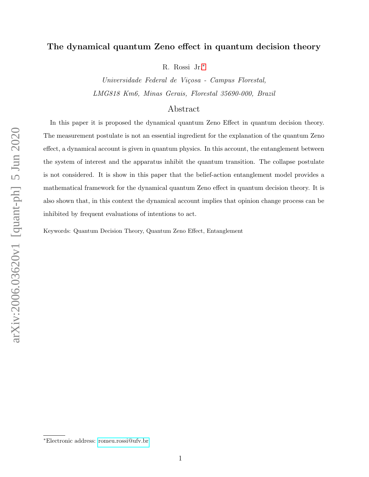# The dynamical quantum Zeno effect in quantum decision theory

R. Rossi Jr.[∗](#page-0-0)

Universidade Federal de Viçosa - Campus Florestal, LMG818 Km6, Minas Gerais, Florestal 35690-000, Brazil

# Abstract

In this paper it is proposed the dynamical quantum Zeno Effect in quantum decision theory. The measurement postulate is not an essential ingredient for the explanation of the quantum Zeno effect, a dynamical account is given in quantum physics. In this account, the entanglement between the system of interest and the apparatus inhibit the quantum transition. The collapse postulate is not considered. It is show in this paper that the belief-action entanglement model provides a mathematical framework for the dynamical quantum Zeno effect in quantum decision theory. It is also shown that, in this context the dynamical account implies that opinion change process can be inhibited by frequent evaluations of intentions to act.

Keywords: Quantum Decision Theory, Quantum Zeno Effect, Entanglement

<span id="page-0-0"></span><sup>∗</sup>Electronic address: [romeu.rossi@ufv.br](mailto:romeu.rossi@ufv.br)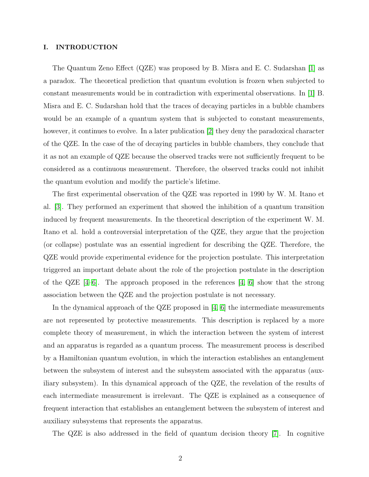## I. INTRODUCTION

The Quantum Zeno Effect (QZE) was proposed by B. Misra and E. C. Sudarshan [\[1\]](#page-14-0) as a paradox. The theoretical prediction that quantum evolution is frozen when subjected to constant measurements would be in contradiction with experimental observations. In [\[1\]](#page-14-0) B. Misra and E. C. Sudarshan hold that the traces of decaying particles in a bubble chambers would be an example of a quantum system that is subjected to constant measurements, however, it continues to evolve. In a later publication [\[2\]](#page-14-1) they deny the paradoxical character of the QZE. In the case of the of decaying particles in bubble chambers, they conclude that it as not an example of QZE because the observed tracks were not sufficiently frequent to be considered as a continuous measurement. Therefore, the observed tracks could not inhibit the quantum evolution and modify the particle's lifetime.

The first experimental observation of the QZE was reported in 1990 by W. M. Itano et al. [\[3\]](#page-14-2). They performed an experiment that showed the inhibition of a quantum transition induced by frequent measurements. In the theoretical description of the experiment W. M. Itano et al. hold a controversial interpretation of the QZE, they argue that the projection (or collapse) postulate was an essential ingredient for describing the QZE. Therefore, the QZE would provide experimental evidence for the projection postulate. This interpretation triggered an important debate about the role of the projection postulate in the description of the  $QZE$  [\[4–](#page-14-3)[6\]](#page-14-4). The approach proposed in the references [\[4,](#page-14-3) [6\]](#page-14-4) show that the strong association between the QZE and the projection postulate is not necessary.

In the dynamical approach of the QZE proposed in  $\vert 4, 6 \vert$  the intermediate measurements are not represented by protective measurements. This description is replaced by a more complete theory of measurement, in which the interaction between the system of interest and an apparatus is regarded as a quantum process. The measurement process is described by a Hamiltonian quantum evolution, in which the interaction establishes an entanglement between the subsystem of interest and the subsystem associated with the apparatus (auxiliary subsystem). In this dynamical approach of the QZE, the revelation of the results of each intermediate measurement is irrelevant. The QZE is explained as a consequence of frequent interaction that establishes an entanglement between the subsystem of interest and auxiliary subsystems that represents the apparatus.

The QZE is also addressed in the field of quantum decision theory [\[7\]](#page-14-5). In cognitive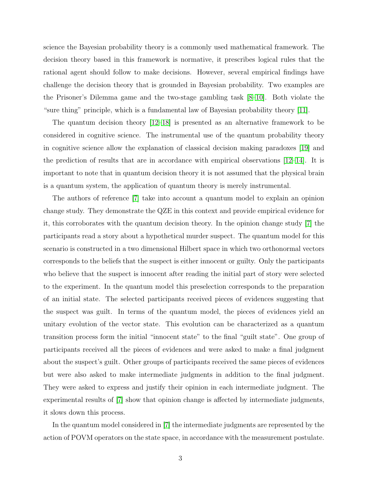science the Bayesian probability theory is a commonly used mathematical framework. The decision theory based in this framework is normative, it prescribes logical rules that the rational agent should follow to make decisions. However, several empirical findings have challenge the decision theory that is grounded in Bayesian probability. Two examples are the Prisoner's Dilemma game and the two-stage gambling task [\[8–](#page-14-6)[10\]](#page-14-7). Both violate the "sure thing" principle, which is a fundamental law of Bayesian probability theory [\[11\]](#page-14-8).

The quantum decision theory [\[12–](#page-14-9)[18\]](#page-15-0) is presented as an alternative framework to be considered in cognitive science. The instrumental use of the quantum probability theory in cognitive science allow the explanation of classical decision making paradoxes [\[19\]](#page-15-1) and the prediction of results that are in accordance with empirical observations [\[12–](#page-14-9)[14\]](#page-14-10). It is important to note that in quantum decision theory it is not assumed that the physical brain is a quantum system, the application of quantum theory is merely instrumental.

The authors of reference [\[7\]](#page-14-5) take into account a quantum model to explain an opinion change study. They demonstrate the QZE in this context and provide empirical evidence for it, this corroborates with the quantum decision theory. In the opinion change study [\[7\]](#page-14-5) the participants read a story about a hypothetical murder suspect. The quantum model for this scenario is constructed in a two dimensional Hilbert space in which two orthonormal vectors corresponds to the beliefs that the suspect is either innocent or guilty. Only the participants who believe that the suspect is innocent after reading the initial part of story were selected to the experiment. In the quantum model this preselection corresponds to the preparation of an initial state. The selected participants received pieces of evidences suggesting that the suspect was guilt. In terms of the quantum model, the pieces of evidences yield an unitary evolution of the vector state. This evolution can be characterized as a quantum transition process form the initial "innocent state" to the final "guilt state". One group of participants received all the pieces of evidences and were asked to make a final judgment about the suspect's guilt. Other groups of participants received the same pieces of evidences but were also asked to make intermediate judgments in addition to the final judgment. They were asked to express and justify their opinion in each intermediate judgment. The experimental results of [\[7\]](#page-14-5) show that opinion change is affected by intermediate judgments, it slows down this process.

In the quantum model considered in [\[7\]](#page-14-5) the intermediate judgments are represented by the action of POVM operators on the state space, in accordance with the measurement postulate.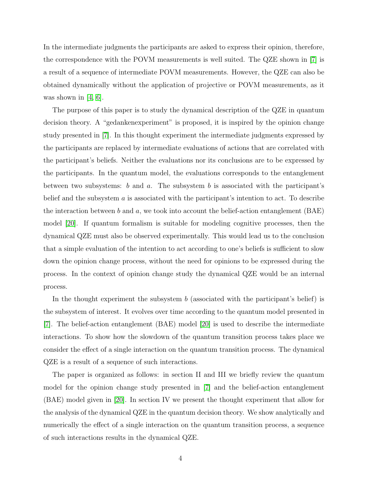In the intermediate judgments the participants are asked to express their opinion, therefore, the correspondence with the POVM measurements is well suited. The QZE shown in [\[7\]](#page-14-5) is a result of a sequence of intermediate POVM measurements. However, the QZE can also be obtained dynamically without the application of projective or POVM measurements, as it was shown in  $[4, 6]$  $[4, 6]$ .

The purpose of this paper is to study the dynamical description of the QZE in quantum decision theory. A "gedankenexperiment" is proposed, it is inspired by the opinion change study presented in [\[7\]](#page-14-5). In this thought experiment the intermediate judgments expressed by the participants are replaced by intermediate evaluations of actions that are correlated with the participant's beliefs. Neither the evaluations nor its conclusions are to be expressed by the participants. In the quantum model, the evaluations corresponds to the entanglement between two subsystems: b and a. The subsystem b is associated with the participant's belief and the subsystem a is associated with the participant's intention to act. To describe the interaction between b and a, we took into account the belief-action entanglement  $(BAE)$ model [\[20\]](#page-15-2). If quantum formalism is suitable for modeling cognitive processes, then the dynamical QZE must also be observed experimentally. This would lead us to the conclusion that a simple evaluation of the intention to act according to one's beliefs is sufficient to slow down the opinion change process, without the need for opinions to be expressed during the process. In the context of opinion change study the dynamical QZE would be an internal process.

In the thought experiment the subsystem  $b$  (associated with the participant's belief) is the subsystem of interest. It evolves over time according to the quantum model presented in [\[7\]](#page-14-5). The belief-action entanglement (BAE) model [\[20\]](#page-15-2) is used to describe the intermediate interactions. To show how the slowdown of the quantum transition process takes place we consider the effect of a single interaction on the quantum transition process. The dynamical QZE is a result of a sequence of such interactions.

The paper is organized as follows: in section II and III we briefly review the quantum model for the opinion change study presented in [\[7\]](#page-14-5) and the belief-action entanglement (BAE) model given in [\[20\]](#page-15-2). In section IV we present the thought experiment that allow for the analysis of the dynamical QZE in the quantum decision theory. We show analytically and numerically the effect of a single interaction on the quantum transition process, a sequence of such interactions results in the dynamical QZE.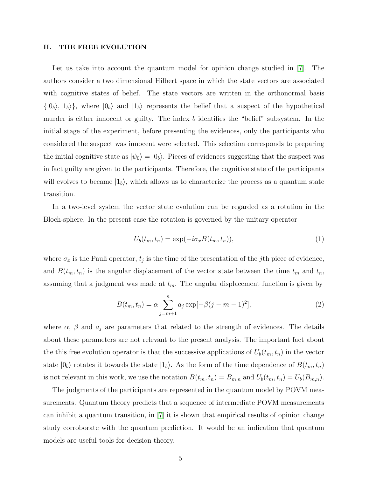#### II. THE FREE EVOLUTION

Let us take into account the quantum model for opinion change studied in [\[7\]](#page-14-5). The authors consider a two dimensional Hilbert space in which the state vectors are associated with cognitive states of belief. The state vectors are written in the orthonormal basis  $\{|0_b\rangle, |1_b\rangle\}$ , where  $|0_b\rangle$  and  $|1_b\rangle$  represents the belief that a suspect of the hypothetical murder is either innocent or guilty. The index b identifies the "belief" subsystem. In the initial stage of the experiment, before presenting the evidences, only the participants who considered the suspect was innocent were selected. This selection corresponds to preparing the initial cognitive state as  $|\psi_0\rangle = |0_b\rangle$ . Pieces of evidences suggesting that the suspect was in fact guilty are given to the participants. Therefore, the cognitive state of the participants will evolves to became  $|1_b\rangle$ , which allows us to characterize the process as a quantum state transition.

In a two-level system the vector state evolution can be regarded as a rotation in the Bloch-sphere. In the present case the rotation is governed by the unitary operator

$$
U_b(t_m, t_n) = \exp(-i\sigma_x B(t_m, t_n)),\tag{1}
$$

where  $\sigma_x$  is the Pauli operator,  $t_j$  is the time of the presentation of the jth piece of evidence, and  $B(t_m, t_n)$  is the angular displacement of the vector state between the time  $t_m$  and  $t_n$ , assuming that a judgment was made at  $t_m$ . The angular displacement function is given by

$$
B(t_m, t_n) = \alpha \sum_{j=m+1}^{n} a_j \exp[-\beta(j-m-1)^2],
$$
 (2)

where  $\alpha$ ,  $\beta$  and  $a_j$  are parameters that related to the strength of evidences. The details about these parameters are not relevant to the present analysis. The important fact about the this free evolution operator is that the successive applications of  $U_b(t_m, t_n)$  in the vector state  $|0_b\rangle$  rotates it towards the state  $|1_b\rangle$ . As the form of the time dependence of  $B(t_m, t_n)$ is not relevant in this work, we use the notation  $B(t_m, t_n) = B_{m,n}$  and  $U_b(t_m, t_n) = U_b(B_{m,n})$ .

The judgments of the participants are represented in the quantum model by POVM measurements. Quantum theory predicts that a sequence of intermediate POVM measurements can inhibit a quantum transition, in [\[7\]](#page-14-5) it is shown that empirical results of opinion change study corroborate with the quantum prediction. It would be an indication that quantum models are useful tools for decision theory.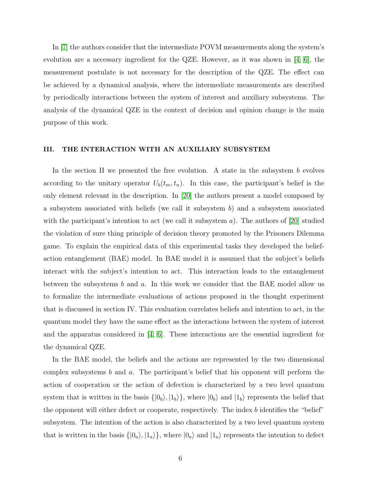In [\[7\]](#page-14-5) the authors consider that the intermediate POVM measurements along the system's evolution are a necessary ingredient for the QZE. However, as it was shown in [\[4,](#page-14-3) [6\]](#page-14-4), the measurement postulate is not necessary for the description of the QZE. The effect can be achieved by a dynamical analysis, where the intermediate measurements are described by periodically interactions between the system of interest and auxiliary subsystems. The analysis of the dynamical QZE in the context of decision and opinion change is the main purpose of this work.

#### III. THE INTERACTION WITH AN AUXILIARY SUBSYSTEM

In the section II we presented the free evolution. A state in the subsystem  $b$  evolves according to the unitary operator  $U_b(t_m, t_n)$ . In this case, the participant's belief is the only element relevant in the description. In [\[20\]](#page-15-2) the authors present a model composed by a subsystem associated with beliefs (we call it subsystem  $b$ ) and a subsystem associated with the participant's intention to act (we call it subsystem a). The authors of  $|20|$  studied the violation of sure thing principle of decision theory promoted by the Prisoners Dilemma game. To explain the empirical data of this experimental tasks they developed the beliefaction entanglement (BAE) model. In BAE model it is assumed that the subject's beliefs interact with the subject's intention to act. This interaction leads to the entanglement between the subsystems b and a. In this work we consider that the BAE model allow us to formalize the intermediate evaluations of actions proposed in the thought experiment that is discussed in section IV. This evaluation correlates beliefs and intention to act, in the quantum model they have the same effect as the interactions between the system of interest and the apparatus considered in [\[4,](#page-14-3) [6\]](#page-14-4). These interactions are the essential ingredient for the dynamical QZE.

In the BAE model, the beliefs and the actions are represented by the two dimensional complex subsystems b and a. The participant's belief that his opponent will perform the action of cooperation or the action of defection is characterized by a two level quantum system that is written in the basis  $\{|0_b\rangle, |1_b\rangle\}$ , where  $|0_b\rangle$  and  $|1_b\rangle$  represents the belief that the opponent will either defect or cooperate, respectively. The index b identifies the "belief" subsystem. The intention of the action is also characterized by a two level quantum system that is written in the basis  $\{|0_a\rangle, |1_a\rangle\}$ , where  $|0_a\rangle$  and  $|1_a\rangle$  represents the intention to defect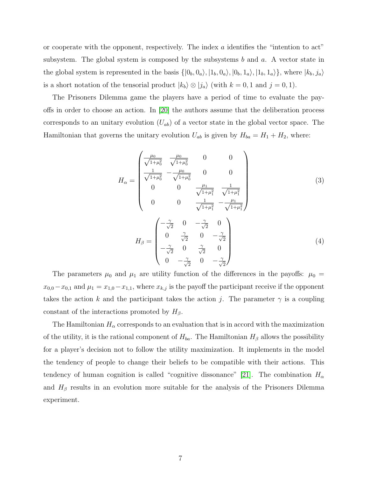or cooperate with the opponent, respectively. The index  $\alpha$  identifies the "intention to act" subsystem. The global system is composed by the subsystems b and  $a$ . A vector state in the global system is represented in the basis  $\{|0_b, 0_a\rangle, |1_b, 0_a\rangle, |0_b, 1_a\rangle, |1_b, 1_a\rangle\}$ , where  $|k_b, j_a\rangle$ is a short notation of the tensorial product  $|k_b\rangle \otimes |j_a\rangle$  (with  $k = 0, 1$  and  $j = 0, 1$ ).

The Prisoners Dilemma game the players have a period of time to evaluate the payoffs in order to choose an action. In [\[20\]](#page-15-2) the authors assume that the deliberation process corresponds to an unitary evolution  $(U_{ab})$  of a vector state in the global vector space. The Hamiltonian that governs the unitary evolution  $U_{ab}$  is given by  $H_{ba} = H_1 + H_2$ , where:

$$
H_{\alpha} = \begin{pmatrix} \frac{\mu_{0}}{\sqrt{1+\mu_{0}^{2}}} & \frac{\mu_{0}}{\sqrt{1+\mu_{0}^{2}}} & 0 & 0\\ \frac{1}{\sqrt{1+\mu_{0}^{2}}} & -\frac{\mu_{0}}{\sqrt{1+\mu_{0}^{2}}} & 0 & 0\\ 0 & 0 & \frac{\mu_{1}}{\sqrt{1+\mu_{1}^{2}}} & \frac{1}{\sqrt{1+\mu_{1}^{2}}}\\ 0 & 0 & \frac{1}{\sqrt{1+\mu_{1}^{2}}} & -\frac{\mu_{1}}{\sqrt{1+\mu_{1}^{2}}}\end{pmatrix}
$$
(3)  

$$
H_{\beta} = \begin{pmatrix} -\frac{\gamma}{\sqrt{2}} & 0 & -\frac{\gamma}{\sqrt{2}} & 0\\ 0 & \frac{\gamma}{\sqrt{2}} & 0 & -\frac{\gamma}{\sqrt{2}}\\ -\frac{\gamma}{\sqrt{2}} & 0 & \frac{\gamma}{\sqrt{2}} & 0\\ 0 & -\frac{\gamma}{\sqrt{2}} & 0 & -\frac{\gamma}{\sqrt{2}}\end{pmatrix}
$$
(4)

The parameters  $\mu_0$  and  $\mu_1$  are utility function of the differences in the payoffs:  $\mu_0$  =  $x_{0,0}-x_{0,1}$  and  $\mu_1=x_{1,0}-x_{1,1}$ , where  $x_{k,j}$  is the payoff the participant receive if the opponent takes the action k and the participant takes the action j. The parameter  $\gamma$  is a coupling constant of the interactions promoted by  $H_\beta$ .

The Hamiltonian  $H_{\alpha}$  corresponds to an evaluation that is in accord with the maximization of the utility, it is the rational component of  $H_{ba}$ . The Hamiltonian  $H_{\beta}$  allows the possibility for a player's decision not to follow the utility maximization. It implements in the model the tendency of people to change their beliefs to be compatible with their actions. This tendency of human cognition is called "cognitive dissonance" [\[21\]](#page-15-3). The combination  $H_{\alpha}$ and  $H_\beta$  results in an evolution more suitable for the analysis of the Prisoners Dilemma experiment.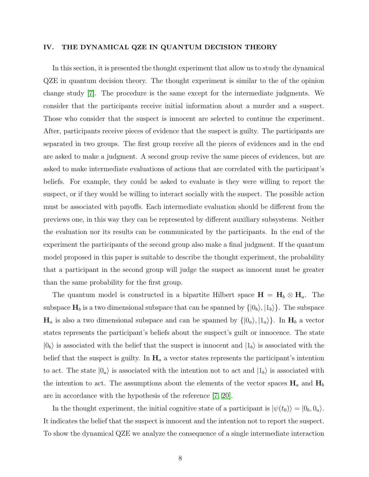#### IV. THE DYNAMICAL QZE IN QUANTUM DECISION THEORY

In this section, it is presented the thought experiment that allow us to study the dynamical QZE in quantum decision theory. The thought experiment is similar to the of the opinion change study [\[7\]](#page-14-5). The procedure is the same except for the intermediate judgments. We consider that the participants receive initial information about a murder and a suspect. Those who consider that the suspect is innocent are selected to continue the experiment. After, participants receive pieces of evidence that the suspect is guilty. The participants are separated in two groups. The first group receive all the pieces of evidences and in the end are asked to make a judgment. A second group revive the same pieces of evidences, but are asked to make intermediate evaluations of actions that are correlated with the participant's beliefs. For example, they could be asked to evaluate is they were willing to report the suspect, or if they would be willing to interact socially with the suspect. The possible action must be associated with payoffs. Each intermediate evaluation should be different from the previews one, in this way they can be represented by different auxiliary subsystems. Neither the evaluation nor its results can be communicated by the participants. In the end of the experiment the participants of the second group also make a final judgment. If the quantum model proposed in this paper is suitable to describe the thought experiment, the probability that a participant in the second group will judge the suspect as innocent must be greater than the same probability for the first group.

The quantum model is constructed in a bipartite Hilbert space  $H = H_b \otimes H_a$ . The subspace  $H_b$  is a two dimensional subspace that can be spanned by  $\{|0_b\rangle, |1_b\rangle\}$ . The subspace  $H_a$  is also a two dimensional subspace and can be spanned by  $\{|0_a\rangle, |1_a\rangle\}$ . In  $H_b$  a vector states represents the participant's beliefs about the suspect's guilt or innocence. The state  $|0_b\rangle$  is associated with the belief that the suspect is innocent and  $|1_b\rangle$  is associated with the belief that the suspect is guilty. In  $H_a$  a vector states represents the participant's intention to act. The state  $|0_a\rangle$  is associated with the intention not to act and  $|1_b\rangle$  is associated with the intention to act. The assumptions about the elements of the vector spaces  $H_a$  and  $H_b$ are in accordance with the hypothesis of the reference [\[7,](#page-14-5) [20\]](#page-15-2).

In the thought experiment, the initial cognitive state of a participant is  $|\psi(t_0)\rangle = |0_b, 0_a\rangle$ . It indicates the belief that the suspect is innocent and the intention not to report the suspect. To show the dynamical QZE we analyze the consequence of a single intermediate interaction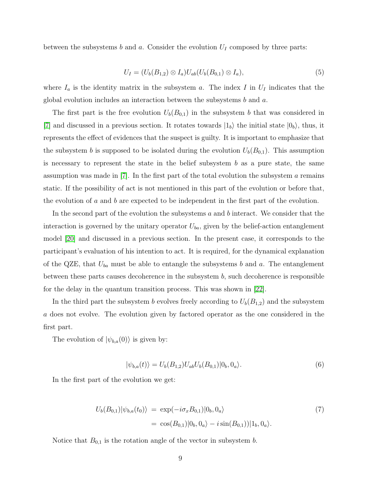between the subsystems b and a. Consider the evolution  $U_I$  composed by three parts:

$$
U_I = (U_b(B_{1,2}) \otimes I_a) U_{ab}(U_b(B_{0,1}) \otimes I_a), \tag{5}
$$

where  $I_a$  is the identity matrix in the subsystem a. The index I in  $U_I$  indicates that the global evolution includes an interaction between the subsystems b and a.

The first part is the free evolution  $U_b(B_{0,1})$  in the subsystem b that was considered in [\[7\]](#page-14-5) and discussed in a previous section. It rotates towards  $|1_b\rangle$  the initial state  $|0_b\rangle$ , thus, it represents the effect of evidences that the suspect is guilty. It is important to emphasize that the subsystem b is supposed to be isolated during the evolution  $U_b(B_{0,1})$ . This assumption is necessary to represent the state in the belief subsystem  $b$  as a pure state, the same assumption was made in [\[7\]](#page-14-5). In the first part of the total evolution the subsystem a remains static. If the possibility of act is not mentioned in this part of the evolution or before that, the evolution of a and b are expected to be independent in the first part of the evolution.

In the second part of the evolution the subsystems  $a$  and  $b$  interact. We consider that the interaction is governed by the unitary operator  $U_{ba}$ , given by the belief-action entanglement model [\[20\]](#page-15-2) and discussed in a previous section. In the present case, it corresponds to the participant's evaluation of his intention to act. It is required, for the dynamical explanation of the QZE, that  $U_{ba}$  must be able to entangle the subsystems b and a. The entanglement between these parts causes decoherence in the subsystem  $b$ , such decoherence is responsible for the delay in the quantum transition process. This was shown in [\[22\]](#page-15-4).

In the third part the subsystem b evolves freely according to  $U_b(B_{1,2})$  and the subsystem a does not evolve. The evolution given by factored operator as the one considered in the first part.

The evolution of  $|\psi_{b,a}(0)\rangle$  is given by:

$$
|\psi_{b,a}(t)\rangle = U_b(B_{1,2})U_{ab}U_b(B_{0,1})|0_b,0_a\rangle.
$$
\n(6)

In the first part of the evolution we get:

<span id="page-8-0"></span>
$$
U_b(B_{0,1})|\psi_{b,a}(t_0)\rangle = \exp(-i\sigma_x B_{0,1})|0_b, 0_a\rangle
$$
  
=  $\cos(B_{0,1})|0_b, 0_a\rangle - i\sin(B_{0,1})|1_b, 0_a\rangle.$  (7)

Notice that  $B_{0,1}$  is the rotation angle of the vector in subsystem b.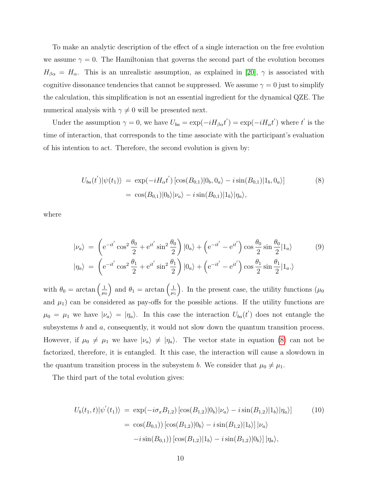To make an analytic description of the effect of a single interaction on the free evolution we assume  $\gamma = 0$ . The Hamiltonian that governs the second part of the evolution becomes  $H_{\beta\alpha} = H_{\alpha}$ . This is an unrealistic assumption, as explained in [\[20\]](#page-15-2),  $\gamma$  is associated with cognitive dissonance tendencies that cannot be suppressed. We assume  $\gamma = 0$  just to simplify the calculation, this simplification is not an essential ingredient for the dynamical QZE. The numerical analysis with  $\gamma \neq 0$  will be presented next.

Under the assumption  $\gamma = 0$ , we have  $U_{ba} = \exp(-iH_{\beta a}t') = \exp(-iH_{\alpha}t')$  where t' is the time of interaction, that corresponds to the time associate with the participant's evaluation of his intention to act. Therefore, the second evolution is given by:

<span id="page-9-0"></span>
$$
U_{ba}(t')|\psi(t_1)\rangle = \exp(-iH_{\alpha}t')[\cos(B_{0,1})|0_b, 0_a\rangle - i\sin(B_{0,1})|1_b, 0_a\rangle]
$$
\n
$$
= \cos(B_{0,1})|0_b\rangle|\nu_a\rangle - i\sin(B_{0,1})|1_b\rangle|\eta_a\rangle,
$$
\n(8)

where

$$
|\nu_a\rangle = \left(e^{-it'}\cos^2\frac{\theta_0}{2} + e^{it'}\sin^2\frac{\theta_0}{2}\right)|0_a\rangle + \left(e^{-it'} - e^{it'}\right)\cos\frac{\theta_0}{2}\sin\frac{\theta_0}{2}|1_a\rangle
$$
(9)  

$$
|\eta_a\rangle = \left(e^{-it'}\cos^2\frac{\theta_1}{2} + e^{it'}\sin^2\frac{\theta_1}{2}\right)|0_a\rangle + \left(e^{-it'} - e^{it'}\right)\cos\frac{\theta_1}{2}\sin\frac{\theta_1}{2}|1_a\rangle
$$

with  $\theta_0 = \arctan\left(\frac{1}{\mu_0}\right)$  $\mu_0$ ) and  $\theta_1 = \arctan\left(\frac{1}{\mu}\right)$  $\mu_1$ ). In the present case, the utility functions  $(\mu_0)$ and  $\mu_1$ ) can be considered as pay-offs for the possible actions. If the utility functions are  $\mu_0 = \mu_1$  we have  $|\nu_a\rangle = |\eta_a\rangle$ . In this case the interaction  $U_{ba}(t')$  does not entangle the subsystems  $b$  and  $a$ , consequently, it would not slow down the quantum transition process. However, if  $\mu_0 \neq \mu_1$  we have  $|\nu_a\rangle \neq |\eta_a\rangle$ . The vector state in equation [\(8\)](#page-9-0) can not be factorized, therefore, it is entangled. It this case, the interaction will cause a slowdown in the quantum transition process in the subsystem b. We consider that  $\mu_0 \neq \mu_1$ .

The third part of the total evolution gives:

$$
U_b(t_1, t)|\psi'(t_1)\rangle = \exp(-i\sigma_x B_{1,2}) [\cos(B_{1,2})|0_b\rangle |\nu_a\rangle - i \sin(B_{1,2})|1_b\rangle |\eta_a\rangle]
$$
(10)  

$$
= \cos(B_{0,1}) [\cos(B_{1,2})|0_b\rangle - i \sin(B_{1,2})|1_b\rangle] |\nu_a\rangle
$$

$$
-i \sin(B_{0,1})) [\cos(B_{1,2})|1_b\rangle - i \sin(B_{1,2})|0_b\rangle] |\eta_a\rangle,
$$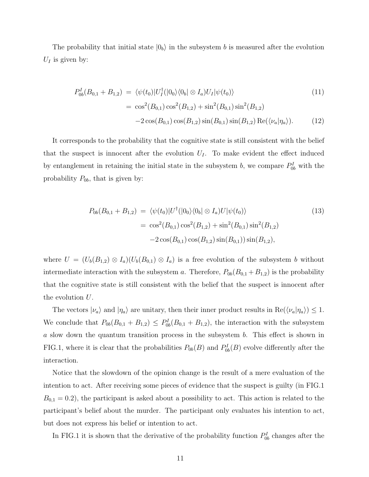The probability that initial state  $|0_b\rangle$  in the subsystem b is measured after the evolution  $U_I$  is given by:

$$
P_{0b}^{I}(B_{0,1} + B_{1,2}) = \langle \psi(t_0)|U_{I}^{\dagger}(|0_0\rangle\langle 0_b| \otimes I_a)U_{I}|\psi(t_0)\rangle
$$
  
\n
$$
= \cos^{2}(B_{0,1})\cos^{2}(B_{1,2}) + \sin^{2}(B_{0,1})\sin^{2}(B_{1,2})
$$
  
\n
$$
-2\cos(B_{0,1})\cos(B_{1,2})\sin(B_{0,1})\sin(B_{1,2}) \operatorname{Re}(\langle \nu_a|\eta_a\rangle).
$$
 (12)

It corresponds to the probability that the cognitive state is still consistent with the belief that the suspect is innocent after the evolution  $U_I$ . To make evident the effect induced by entanglement in retaining the initial state in the subsystem b, we compare  $P_{0b}^I$  with the probability  $P_{0b}$ , that is given by:

$$
P_{0b}(B_{0,1} + B_{1,2}) = \langle \psi(t_0) | U^{\dagger}(|0_0\rangle\langle 0_b| \otimes I_a) U | \psi(t_0) \rangle
$$
\n
$$
= \cos^2(B_{0,1}) \cos^2(B_{1,2}) + \sin^2(B_{0,1}) \sin^2(B_{1,2})
$$
\n
$$
-2 \cos(B_{0,1}) \cos(B_{1,2}) \sin(B_{0,1}) \sin(B_{1,2}),
$$
\n(13)

where  $U = (U_b(B_{1,2}) \otimes I_a)(U_b(B_{0,1}) \otimes I_a)$  is a free evolution of the subsystem b without intermediate interaction with the subsystem a. Therefore,  $P_{0b}(B_{0,1} + B_{1,2})$  is the probability that the cognitive state is still consistent with the belief that the suspect is innocent after the evolution U.

The vectors  $|\nu_a\rangle$  and  $|\eta_a\rangle$  are unitary, then their inner product results in  $\text{Re}(\langle \nu_a|\eta_a\rangle) \leq 1$ . We conclude that  $P_{0b}(B_{0,1} + B_{1,2}) \leq P_{0b}(B_{0,1} + B_{1,2})$ , the interaction with the subsystem a slow down the quantum transition process in the subsystem b. This effect is shown in FIG.1, where it is clear that the probabilities  $P_{0b}(B)$  and  $P_{0b}^{I}(B)$  evolve differently after the interaction.

Notice that the slowdown of the opinion change is the result of a mere evaluation of the intention to act. After receiving some pieces of evidence that the suspect is guilty (in FIG.1  $B_{0,1} = 0.2$ , the participant is asked about a possibility to act. This action is related to the participant's belief about the murder. The participant only evaluates his intention to act, but does not express his belief or intention to act.

In FIG.1 it is shown that the derivative of the probability function  $P_{0b}^I$  changes after the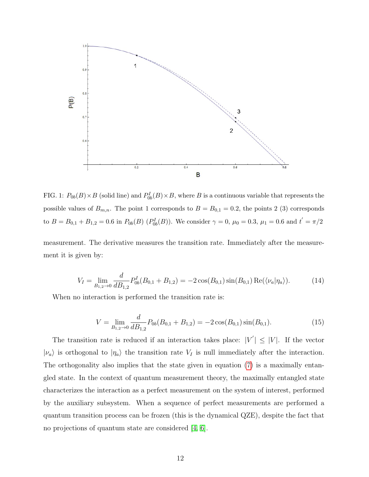

FIG. 1:  $P_{0b}(B) \times B$  (solid line) and  $P_{0b}^I(B) \times B$ , where B is a continuous variable that represents the possible values of  $B_{m,n}$ . The point 1 corresponds to  $B = B_{0,1} = 0.2$ , the points 2 (3) corresponds to  $B = B_{0,1} + B_{1,2} = 0.6$  in  $P_{0b}(B)$   $(P_{0b}^I(B))$ . We consider  $\gamma = 0$ ,  $\mu_0 = 0.3$ ,  $\mu_1 = 0.6$  and  $t' = \pi/2$ 

measurement. The derivative measures the transition rate. Immediately after the measurement it is given by:

$$
V_I = \lim_{B_{1,2} \to 0} \frac{d}{dB_{1,2}} P_{0b}^I(B_{0,1} + B_{1,2}) = -2\cos(B_{0,1})\sin(B_{0,1})\operatorname{Re}(\langle \nu_a|\eta_a\rangle). \tag{14}
$$

When no interaction is performed the transition rate is:

$$
V = \lim_{B_{1,2} \to 0} \frac{d}{dB_{1,2}} P_{0b}(B_{0,1} + B_{1,2}) = -2\cos(B_{0,1})\sin(B_{0,1}).
$$
\n(15)

The transition rate is reduced if an interaction takes place:  $|V'| \leq |V|$ . If the vector  $|\nu_a\rangle$  is orthogonal to  $|\eta_a\rangle$  the transition rate  $V_I$  is null immediately after the interaction. The orthogonality also implies that the state given in equation [\(7\)](#page-8-0) is a maximally entangled state. In the context of quantum measurement theory, the maximally entangled state characterizes the interaction as a perfect measurement on the system of interest, performed by the auxiliary subsystem. When a sequence of perfect measurements are performed a quantum transition process can be frozen (this is the dynamical QZE), despite the fact that no projections of quantum state are considered [\[4,](#page-14-3) [6\]](#page-14-4).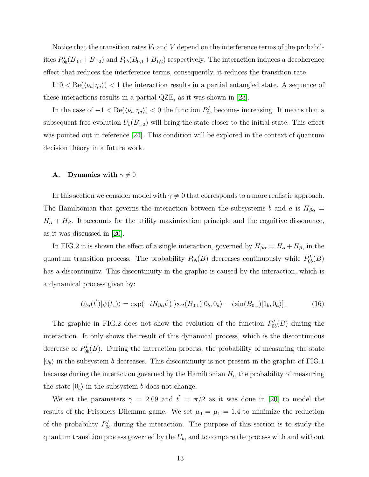Notice that the transition rates  $V_I$  and  $V$  depend on the interference terms of the probabilities  $P_{0b}^I(B_{0,1}+B_{1,2})$  and  $P_{0b}(B_{0,1}+B_{1,2})$  respectively. The interaction induces a decoherence effect that reduces the interference terms, consequently, it reduces the transition rate.

If  $0 < \text{Re}(\langle \nu_a | \eta_a \rangle) < 1$  the interaction results in a partial entangled state. A sequence of these interactions results in a partial QZE, as it was shown in [\[23\]](#page-15-5).

In the case of  $-1 < \text{Re}(\langle \nu_a | \eta_a \rangle) < 0$  the function  $P_{0b}^I$  becomes increasing. It means that a subsequent free evolution  $U_b(B_{1,2})$  will bring the state closer to the initial state. This effect was pointed out in reference [\[24\]](#page-15-6). This condition will be explored in the context of quantum decision theory in a future work.

## **A.** Dynamics with  $\gamma \neq 0$

In this section we consider model with  $\gamma \neq 0$  that corresponds to a more realistic approach. The Hamiltonian that governs the interaction between the subsystems b and a is  $H_{\beta\alpha}$  =  $H_{\alpha} + H_{\beta}$ . It accounts for the utility maximization principle and the cognitive dissonance, as it was discussed in [\[20\]](#page-15-2).

In FIG.2 it is shown the effect of a single interaction, governed by  $H_{\beta\alpha} = H_{\alpha} + H_{\beta}$ , in the quantum transition process. The probability  $P_{0b}(B)$  decreases continuously while  $P_{0b}^I(B)$ has a discontinuity. This discontinuity in the graphic is caused by the interaction, which is a dynamical process given by:

$$
U_{ba}(t')|\psi(t_1)\rangle = \exp(-iH_{\beta\alpha}t')\left[\cos(B_{0,1})|0_b,0_a\rangle - i\sin(B_{0,1})|1_b,0_a\rangle\right].\tag{16}
$$

The graphic in FIG.2 does not show the evolution of the function  $P_{0b}^I(B)$  during the interaction. It only shows the result of this dynamical process, which is the discontinuous decrease of  $P_{0b}^I(B)$ . During the interaction process, the probability of measuring the state  $|0<sub>b</sub>\rangle$  in the subsystem b decreases. This discontinuity is not present in the graphic of FIG.1 because during the interaction governed by the Hamiltonian  $H_{\alpha}$  the probability of measuring the state  $|0_b\rangle$  in the subsystem b does not change.

We set the parameters  $\gamma = 2.09$  and  $t' = \pi/2$  as it was done in [\[20\]](#page-15-2) to model the results of the Prisoners Dilemma game. We set  $\mu_0 = \mu_1 = 1.4$  to minimize the reduction of the probability  $P_{0b}^I$  during the interaction. The purpose of this section is to study the quantum transition process governed by the  $U_b$ , and to compare the process with and without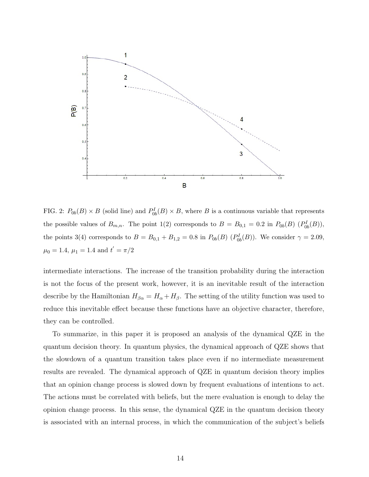

FIG. 2:  $P_{0b}(B) \times B$  (solid line) and  $P_{0b}^I(B) \times B$ , where B is a continuous variable that represents the possible values of  $B_{m,n}$ . The point 1(2) corresponds to  $B = B_{0,1} = 0.2$  in  $P_{0b}(B)$   $(P_{0b}^I(B))$ , the points 3(4) corresponds to  $B = B_{0,1} + B_{1,2} = 0.8$  in  $P_{0b}(B)$   $(P_{0b}^I(B))$ . We consider  $\gamma = 2.09$ ,  $\mu_0 = 1.4, \, \mu_1 = 1.4 \text{ and } t' = \pi/2$ 

intermediate interactions. The increase of the transition probability during the interaction is not the focus of the present work, however, it is an inevitable result of the interaction describe by the Hamiltonian  $H_{\beta\alpha} = H_{\alpha} + H_{\beta}$ . The setting of the utility function was used to reduce this inevitable effect because these functions have an objective character, therefore, they can be controlled.

To summarize, in this paper it is proposed an analysis of the dynamical QZE in the quantum decision theory. In quantum physics, the dynamical approach of QZE shows that the slowdown of a quantum transition takes place even if no intermediate measurement results are revealed. The dynamical approach of QZE in quantum decision theory implies that an opinion change process is slowed down by frequent evaluations of intentions to act. The actions must be correlated with beliefs, but the mere evaluation is enough to delay the opinion change process. In this sense, the dynamical QZE in the quantum decision theory is associated with an internal process, in which the communication of the subject's beliefs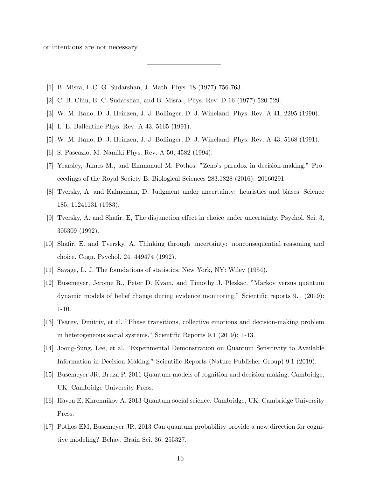or intentions are not necessary.

- <span id="page-14-1"></span><span id="page-14-0"></span>[1] B. Misra, E.C. G. Sudarshan, J. Math. Phys. 18 (1977) 756-763.
- <span id="page-14-2"></span>[2] C. B. Chiu, E. C. Sudarshan, and B. Misra , Phys. Rev. D 16 (1977) 520-529.
- <span id="page-14-3"></span>[3] W. M. Itano, D. J. Heinzen, J. J. Bollinger, D. J. Wineland, Phys. Rev. A 41, 2295 (1990).
- [4] L. E. Ballentine Phys. Rev. A 43, 5165 (1991).
- <span id="page-14-4"></span>[5] W. M. Itano, D. J. Heinzen, J. J. Bollinger, D. J. Wineland, Phys. Rev. A 43, 5168 (1991).
- <span id="page-14-5"></span>[6] S. Pascazio, M. Namiki Phys. Rev. A 50, 4582 (1994).
- [7] Yearsley, James M., and Emmanuel M. Pothos. "Zeno's paradox in decision-making." Proceedings of the Royal Society B: Biological Sciences 283.1828 (2016): 20160291.
- <span id="page-14-6"></span>[8] Tversky, A. and Kahneman, D, Judgment under uncertainty: heuristics and biases. Science 185, 11241131 (1983).
- [9] Tversky, A. and Shafir, E, The disjunction effect in choice under uncertainty. Psychol. Sci. 3, 305309 (1992).
- <span id="page-14-7"></span>[10] Shafir, E. and Tversky, A, Thinking through uncertainty: nonconsequential reasoning and choice. Cogn. Psychol. 24, 449474 (1992).
- <span id="page-14-9"></span><span id="page-14-8"></span>[11] Savage, L. J, The foundations of statistics. New York, NY: Wiley (1954).
- [12] Busemeyer, Jerome R., Peter D. Kvam, and Timothy J. Pleskac. "Markov versus quantum dynamic models of belief change during evidence monitoring." Scientific reports 9.1 (2019): 1-10.
- [13] Tsarev, Dmitriy, et al. "Phase transitions, collective emotions and decision-making problem in heterogeneous social systems." Scientific Reports 9.1 (2019): 1-13.
- <span id="page-14-10"></span>[14] Joong-Sung, Lee, et al. "Experimental Demonstration on Quantum Sensitivity to Available Information in Decision Making." Scientific Reports (Nature Publisher Group) 9.1 (2019).
- [15] Busemeyer JR, Bruza P. 2011 Quantum models of cognition and decision making. Cambridge, UK: Cambridge University Press.
- [16] Haven E, Khrennikov A. 2013 Quantum social science. Cambridge, UK: Cambridge University Press.
- [17] Pothos EM, Busemeyer JR. 2013 Can quantum probability provide a new direction for cognitive modeling? Behav. Brain Sci. 36, 255327.